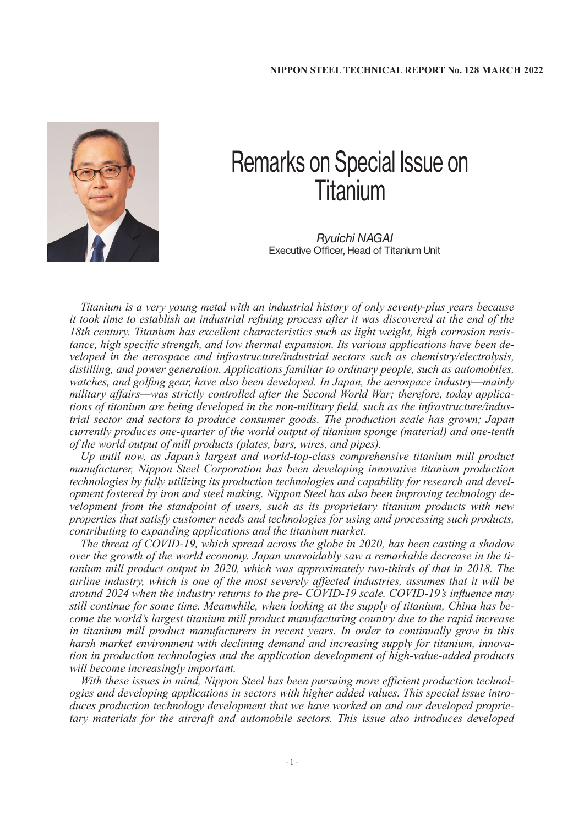

## Remarks on Special Issue on Titanium

*Ryuichi NAGAI* Executive Officer, Head of Titanium Unit

*Titanium is a very young metal with an industrial history of only seventy-plus years because it took time to establish an industrial refining process after it was discovered at the end of the 18th century. Titanium has excellent characteristics such as light weight, high corrosion resistance, high specific strength, and low thermal expansion. Its various applications have been developed in the aerospace and infrastructure/industrial sectors such as chemistry/electrolysis, distilling, and power generation. Applications familiar to ordinary people, such as automobiles, watches, and golfing gear, have also been developed. In Japan, the aerospace industry—mainly military affairs—was strictly controlled after the Second World War; therefore, today applications of titanium are being developed in the non-military field, such as the infrastructure/industrial sector and sectors to produce consumer goods. The production scale has grown; Japan currently produces one-quarter of the world output of titanium sponge (material) and one-tenth of the world output of mill products (plates, bars, wires, and pipes).*

*Up until now, as Japan's largest and world-top-class comprehensive titanium mill product manufacturer, Nippon Steel Corporation has been developing innovative titanium production technologies by fully utilizing its production technologies and capability for research and development fostered by iron and steel making. Nippon Steel has also been improving technology development from the standpoint of users, such as its proprietary titanium products with new properties that satisfy customer needs and technologies for using and processing such products, contributing to expanding applications and the titanium market.*

*The threat of COVID-19, which spread across the globe in 2020, has been casting a shadow over the growth of the world economy. Japan unavoidably saw a remarkable decrease in the titanium mill product output in 2020, which was approximately two-thirds of that in 2018. The airline industry, which is one of the most severely affected industries, assumes that it will be around 2024 when the industry returns to the pre- COVID-19 scale. COVID-19's influence may still continue for some time. Meanwhile, when looking at the supply of titanium, China has become the world's largest titanium mill product manufacturing country due to the rapid increase in titanium mill product manufacturers in recent years. In order to continually grow in this harsh market environment with declining demand and increasing supply for titanium, innovation in production technologies and the application development of high-value-added products will become increasingly important.*

*With these issues in mind, Nippon Steel has been pursuing more efficient production technologies and developing applications in sectors with higher added values. This special issue introduces production technology development that we have worked on and our developed proprietary materials for the aircraft and automobile sectors. This issue also introduces developed*